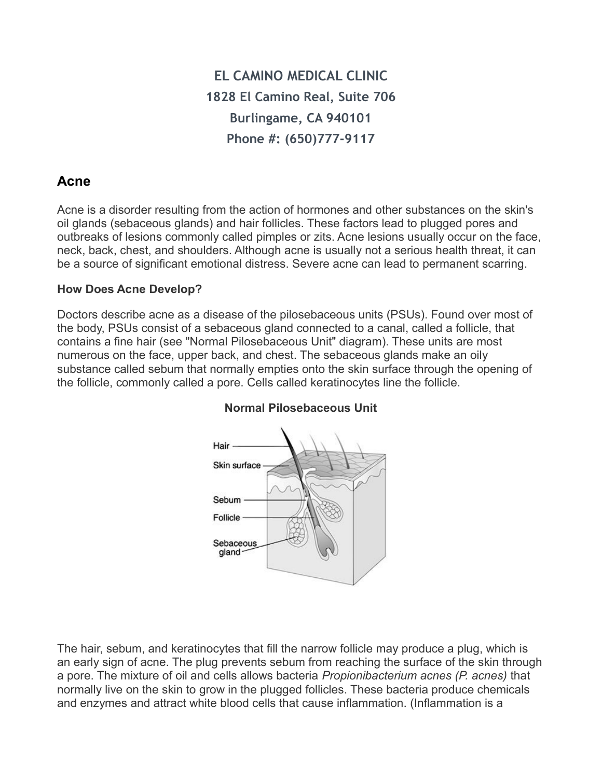# **EL CAMINO MEDICAL CLINIC 1828 El Camino Real, Suite 706 Burlingame, CA 940101 Phone #: (650)777-9117**

# **Acne**

Acne is a disorder resulting from the action of hormones and other substances on the skin's oil glands (sebaceous glands) and hair follicles. These factors lead to plugged pores and outbreaks of lesions commonly called pimples or zits. Acne lesions usually occur on the face, neck, back, chest, and shoulders. Although acne is usually not a serious health threat, it can be a source of significant emotional distress. Severe acne can lead to permanent scarring.

# **How Does Acne Develop?**

Doctors describe acne as a disease of the pilosebaceous units (PSUs). Found over most of the body, PSUs consist of a sebaceous gland connected to a canal, called a follicle, that contains a fine hair (see "Normal Pilosebaceous Unit" diagram). These units are most numerous on the face, upper back, and chest. The sebaceous glands make an oily substance called sebum that normally empties onto the skin surface through the opening of the follicle, commonly called a pore. Cells called keratinocytes line the follicle.



# **Normal Pilosebaceous Unit**

The hair, sebum, and keratinocytes that fill the narrow follicle may produce a plug, which is an early sign of acne. The plug prevents sebum from reaching the surface of the skin through a pore. The mixture of oil and cells allows bacteria *Propionibacterium acnes (P. acnes)* that normally live on the skin to grow in the plugged follicles. These bacteria produce chemicals and enzymes and attract white blood cells that cause inflammation. (Inflammation is a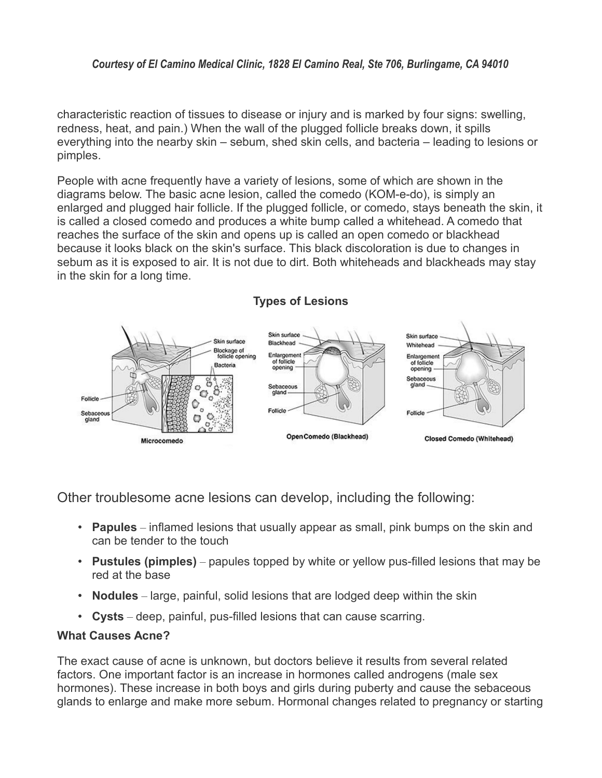characteristic reaction of tissues to disease or injury and is marked by four signs: swelling, redness, heat, and pain.) When the wall of the plugged follicle breaks down, it spills everything into the nearby skin – sebum, shed skin cells, and bacteria – leading to lesions or pimples.

People with acne frequently have a variety of lesions, some of which are shown in the diagrams below. The basic acne lesion, called the comedo (KOM-e-do), is simply an enlarged and plugged hair follicle. If the plugged follicle, or comedo, stays beneath the skin, it is called a closed comedo and produces a white bump called a whitehead. A comedo that reaches the surface of the skin and opens up is called an open comedo or blackhead because it looks black on the skin's surface. This black discoloration is due to changes in sebum as it is exposed to air. It is not due to dirt. Both whiteheads and blackheads may stay in the skin for a long time.



Other troublesome acne lesions can develop, including the following:

- **Papules** inflamed lesions that usually appear as small, pink bumps on the skin and can be tender to the touch
- **Pustules (pimples)** papules topped by white or yellow pus-filled lesions that may be red at the base
- **Nodules** large, painful, solid lesions that are lodged deep within the skin
- **Cysts** deep, painful, pus-filled lesions that can cause scarring.

# **What Causes Acne?**

The exact cause of acne is unknown, but doctors believe it results from several related factors. One important factor is an increase in hormones called androgens (male sex hormones). These increase in both boys and girls during puberty and cause the sebaceous glands to enlarge and make more sebum. Hormonal changes related to pregnancy or starting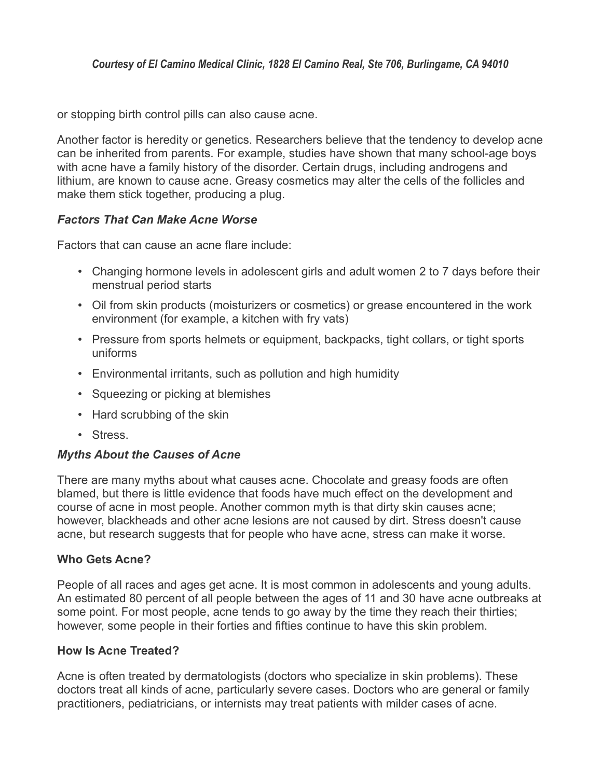or stopping birth control pills can also cause acne.

Another factor is heredity or genetics. Researchers believe that the tendency to develop acne can be inherited from parents. For example, studies have shown that many school-age boys with acne have a family history of the disorder. Certain drugs, including androgens and lithium, are known to cause acne. Greasy cosmetics may alter the cells of the follicles and make them stick together, producing a plug.

#### *Factors That Can Make Acne Worse*

Factors that can cause an acne flare include:

- Changing hormone levels in adolescent girls and adult women 2 to 7 days before their menstrual period starts
- Oil from skin products (moisturizers or cosmetics) or grease encountered in the work environment (for example, a kitchen with fry vats)
- Pressure from sports helmets or equipment, backpacks, tight collars, or tight sports uniforms
- Environmental irritants, such as pollution and high humidity
- Squeezing or picking at blemishes
- Hard scrubbing of the skin
- Stress.

#### *Myths About the Causes of Acne*

There are many myths about what causes acne. Chocolate and greasy foods are often blamed, but there is little evidence that foods have much effect on the development and course of acne in most people. Another common myth is that dirty skin causes acne; however, blackheads and other acne lesions are not caused by dirt. Stress doesn't cause acne, but research suggests that for people who have acne, stress can make it worse.

#### **Who Gets Acne?**

People of all races and ages get acne. It is most common in adolescents and young adults. An estimated 80 percent of all people between the ages of 11 and 30 have acne outbreaks at some point. For most people, acne tends to go away by the time they reach their thirties; however, some people in their forties and fifties continue to have this skin problem.

#### **How Is Acne Treated?**

Acne is often treated by dermatologists (doctors who specialize in skin problems). These doctors treat all kinds of acne, particularly severe cases. Doctors who are general or family practitioners, pediatricians, or internists may treat patients with milder cases of acne.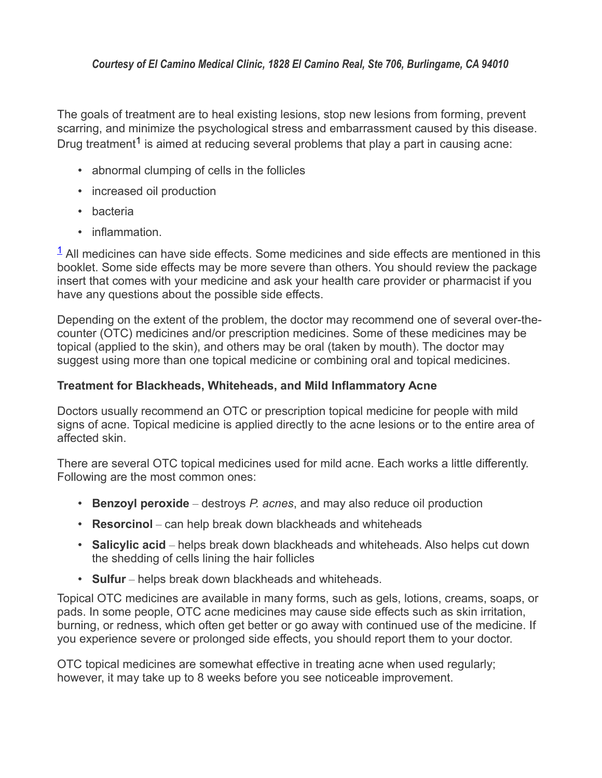The goals of treatment are to heal existing lesions, stop new lesions from forming, prevent scarring, and minimize the psychological stress and embarrassment caused by this disease. Drug treatment<sup>[1](http://www.google.com/url?q=http%3A%2F%2Fwww.niams.nih.gov%2FHealth_Info%2FAcne%2F%231&sa=D&sntz=1&usg=AFrqEzdakKniqy3uI_pQEkzF9oqMagZVTQ)</sup> is aimed at reducing several problems that play a part in causing acne:

- abnormal clumping of cells in the follicles
- increased oil production
- bacteria
- inflammation.

 $<sup>1</sup>$  $<sup>1</sup>$  $<sup>1</sup>$  All medicines can have side effects. Some medicines and side effects are mentioned in this</sup> booklet. Some side effects may be more severe than others. You should review the package insert that comes with your medicine and ask your health care provider or pharmacist if you have any questions about the possible side effects.

Depending on the extent of the problem, the doctor may recommend one of several over-thecounter (OTC) medicines and/or prescription medicines. Some of these medicines may be topical (applied to the skin), and others may be oral (taken by mouth). The doctor may suggest using more than one topical medicine or combining oral and topical medicines.

#### **Treatment for Blackheads, Whiteheads, and Mild Inflammatory Acne**

Doctors usually recommend an OTC or prescription topical medicine for people with mild signs of acne. Topical medicine is applied directly to the acne lesions or to the entire area of affected skin.

There are several OTC topical medicines used for mild acne. Each works a little differently. Following are the most common ones:

- **Benzoyl peroxide** destroys *P. acnes*, and may also reduce oil production
- **Resorcinol** can help break down blackheads and whiteheads
- **Salicylic acid** helps break down blackheads and whiteheads. Also helps cut down the shedding of cells lining the hair follicles
- **Sulfur** helps break down blackheads and whiteheads.

Topical OTC medicines are available in many forms, such as gels, lotions, creams, soaps, or pads. In some people, OTC acne medicines may cause side effects such as skin irritation, burning, or redness, which often get better or go away with continued use of the medicine. If you experience severe or prolonged side effects, you should report them to your doctor.

OTC topical medicines are somewhat effective in treating acne when used regularly; however, it may take up to 8 weeks before you see noticeable improvement.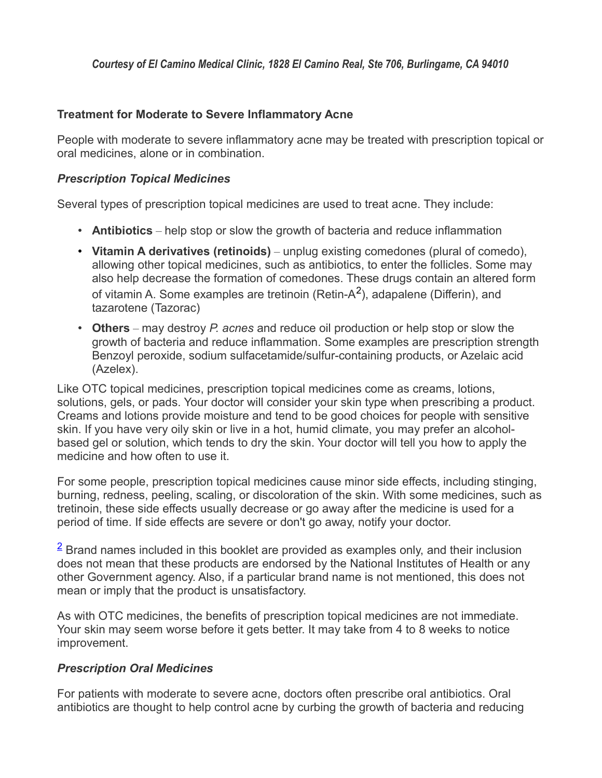### **Treatment for Moderate to Severe Inflammatory Acne**

People with moderate to severe inflammatory acne may be treated with prescription topical or oral medicines, alone or in combination.

#### *Prescription Topical Medicines*

Several types of prescription topical medicines are used to treat acne. They include:

- **Antibiotics** help stop or slow the growth of bacteria and reduce inflammation
- **Vitamin A derivatives (retinoids)** unplug existing comedones (plural of comedo), allowing other topical medicines, such as antibiotics, to enter the follicles. Some may also help decrease the formation of comedones. These drugs contain an altered form of vitamin A. Some examples are tretinoin (Retin-A<sup>[2](http://www.google.com/url?q=http%3A%2F%2Fwww.niams.nih.gov%2FHealth_Info%2FAcne%2F%232&sa=D&sntz=1&usg=AFrqEzdFgByAnwRNiG8cApOpA9vXVyfO-A)</sup>), adapalene (Differin), and tazarotene (Tazorac)
- **Others** may destroy *P. acnes* and reduce oil production or help stop or slow the growth of bacteria and reduce inflammation. Some examples are prescription strength Benzoyl peroxide, sodium sulfacetamide/sulfur-containing products, or Azelaic acid (Azelex).

Like OTC topical medicines, prescription topical medicines come as creams, lotions, solutions, gels, or pads. Your doctor will consider your skin type when prescribing a product. Creams and lotions provide moisture and tend to be good choices for people with sensitive skin. If you have very oily skin or live in a hot, humid climate, you may prefer an alcoholbased gel or solution, which tends to dry the skin. Your doctor will tell you how to apply the medicine and how often to use it.

For some people, prescription topical medicines cause minor side effects, including stinging, burning, redness, peeling, scaling, or discoloration of the skin. With some medicines, such as tretinoin, these side effects usually decrease or go away after the medicine is used for a period of time. If side effects are severe or don't go away, notify your doctor.

 $\frac{2}{3}$  $\frac{2}{3}$  $\frac{2}{3}$  Brand names included in this booklet are provided as examples only, and their inclusion does not mean that these products are endorsed by the National Institutes of Health or any other Government agency. Also, if a particular brand name is not mentioned, this does not mean or imply that the product is unsatisfactory.

As with OTC medicines, the benefits of prescription topical medicines are not immediate. Your skin may seem worse before it gets better. It may take from 4 to 8 weeks to notice improvement.

# *Prescription Oral Medicines*

For patients with moderate to severe acne, doctors often prescribe oral antibiotics. Oral antibiotics are thought to help control acne by curbing the growth of bacteria and reducing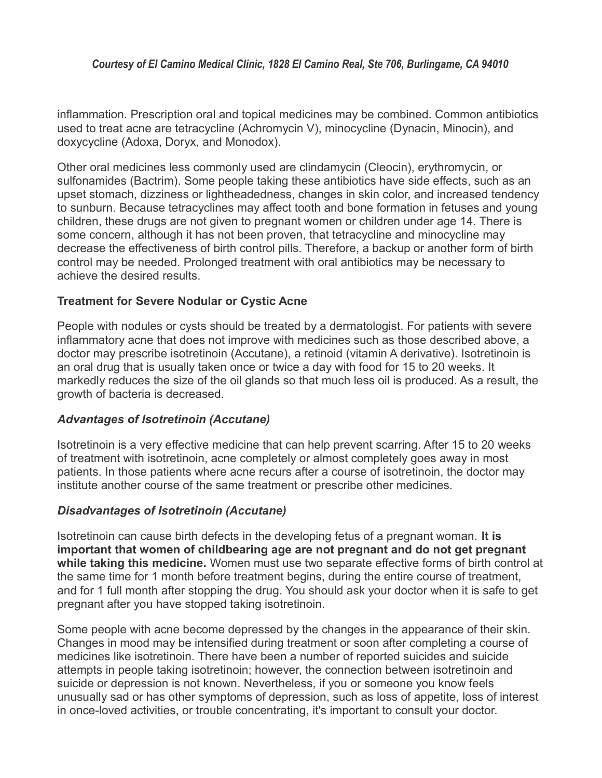inflammation. Prescription oral and topical medicines may be combined. Common antibiotics used to treat acne are tetracycline (Achromycin V), minocycline (Dynacin, Minocin), and doxycycline (Adoxa, Doryx, and Monodox).

Other oral medicines less commonly used are clindamycin (Cleocin), erythromycin, or sulfonamides (Bactrim). Some people taking these antibiotics have side effects, such as an upset stomach, dizziness or lightheadedness, changes in skin color, and increased tendency to sunburn. Because tetracyclines may affect tooth and bone formation in fetuses and young children, these drugs are not given to pregnant women or children under age 14. There is some concern, although it has not been proven, that tetracycline and minocycline may decrease the effectiveness of birth control pills. Therefore, a backup or another form of birth control may be needed. Prolonged treatment with oral antibiotics may be necessary to achieve the desired results.

#### **Treatment for Severe Nodular or Cystic Acne**

People with nodules or cysts should be treated by a dermatologist. For patients with severe inflammatory acne that does not improve with medicines such as those described above, a doctor may prescribe isotretinoin (Accutane), a retinoid (vitamin A derivative). Isotretinoin is an oral drug that is usually taken once or twice a day with food for 15 to 20 weeks. It markedly reduces the size of the oil glands so that much less oil is produced. As a result, the growth of bacteria is decreased.

#### *Advantages of Isotretinoin (Accutane)*

Isotretinoin is a very effective medicine that can help prevent scarring. After 15 to 20 weeks of treatment with isotretinoin, acne completely or almost completely goes away in most patients. In those patients where acne recurs after a course of isotretinoin, the doctor may institute another course of the same treatment or prescribe other medicines.

# *Disadvantages of Isotretinoin (Accutane)*

Isotretinoin can cause birth defects in the developing fetus of a pregnant woman. **It is important that women of childbearing age are not pregnant and do not get pregnant while taking this medicine.** Women must use two separate effective forms of birth control at the same time for 1 month before treatment begins, during the entire course of treatment, and for 1 full month after stopping the drug. You should ask your doctor when it is safe to get pregnant after you have stopped taking isotretinoin.

Some people with acne become depressed by the changes in the appearance of their skin. Changes in mood may be intensified during treatment or soon after completing a course of medicines like isotretinoin. There have been a number of reported suicides and suicide attempts in people taking isotretinoin; however, the connection between isotretinoin and suicide or depression is not known. Nevertheless, if you or someone you know feels unusually sad or has other symptoms of depression, such as loss of appetite, loss of interest in once-loved activities, or trouble concentrating, it's important to consult your doctor.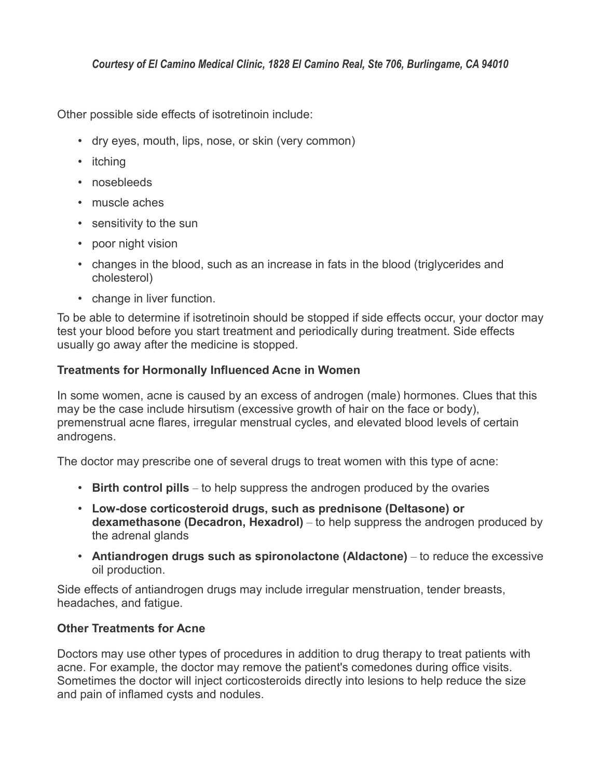Other possible side effects of isotretinoin include:

- dry eyes, mouth, lips, nose, or skin (very common)
- itching
- nosebleeds
- muscle aches
- sensitivity to the sun
- poor night vision
- changes in the blood, such as an increase in fats in the blood (triglycerides and cholesterol)
- change in liver function.

To be able to determine if isotretinoin should be stopped if side effects occur, your doctor may test your blood before you start treatment and periodically during treatment. Side effects usually go away after the medicine is stopped.

# **Treatments for Hormonally Influenced Acne in Women**

In some women, acne is caused by an excess of androgen (male) hormones. Clues that this may be the case include hirsutism (excessive growth of hair on the face or body), premenstrual acne flares, irregular menstrual cycles, and elevated blood levels of certain androgens.

The doctor may prescribe one of several drugs to treat women with this type of acne:

- **Birth control pills** to help suppress the androgen produced by the ovaries
- **Low-dose corticosteroid drugs, such as prednisone (Deltasone) or dexamethasone (Decadron, Hexadrol)** – to help suppress the androgen produced by the adrenal glands
- **Antiandrogen drugs such as spironolactone (Aldactone)** to reduce the excessive oil production.

Side effects of antiandrogen drugs may include irregular menstruation, tender breasts, headaches, and fatigue.

# **Other Treatments for Acne**

Doctors may use other types of procedures in addition to drug therapy to treat patients with acne. For example, the doctor may remove the patient's comedones during office visits. Sometimes the doctor will inject corticosteroids directly into lesions to help reduce the size and pain of inflamed cysts and nodules.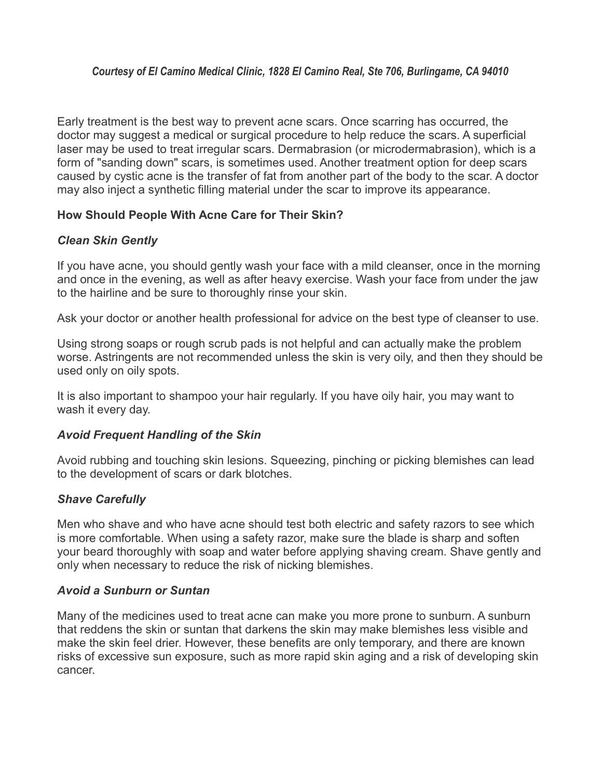Early treatment is the best way to prevent acne scars. Once scarring has occurred, the doctor may suggest a medical or surgical procedure to help reduce the scars. A superficial laser may be used to treat irregular scars. Dermabrasion (or microdermabrasion), which is a form of "sanding down" scars, is sometimes used. Another treatment option for deep scars caused by cystic acne is the transfer of fat from another part of the body to the scar. A doctor may also inject a synthetic filling material under the scar to improve its appearance.

#### **How Should People With Acne Care for Their Skin?**

# *Clean Skin Gently*

If you have acne, you should gently wash your face with a mild cleanser, once in the morning and once in the evening, as well as after heavy exercise. Wash your face from under the jaw to the hairline and be sure to thoroughly rinse your skin.

Ask your doctor or another health professional for advice on the best type of cleanser to use.

Using strong soaps or rough scrub pads is not helpful and can actually make the problem worse. Astringents are not recommended unless the skin is very oily, and then they should be used only on oily spots.

It is also important to shampoo your hair regularly. If you have oily hair, you may want to wash it every day.

#### *Avoid Frequent Handling of the Skin*

Avoid rubbing and touching skin lesions. Squeezing, pinching or picking blemishes can lead to the development of scars or dark blotches.

#### *Shave Carefully*

Men who shave and who have acne should test both electric and safety razors to see which is more comfortable. When using a safety razor, make sure the blade is sharp and soften your beard thoroughly with soap and water before applying shaving cream. Shave gently and only when necessary to reduce the risk of nicking blemishes.

#### *Avoid a Sunburn or Suntan*

Many of the medicines used to treat acne can make you more prone to sunburn. A sunburn that reddens the skin or suntan that darkens the skin may make blemishes less visible and make the skin feel drier. However, these benefits are only temporary, and there are known risks of excessive sun exposure, such as more rapid skin aging and a risk of developing skin cancer.